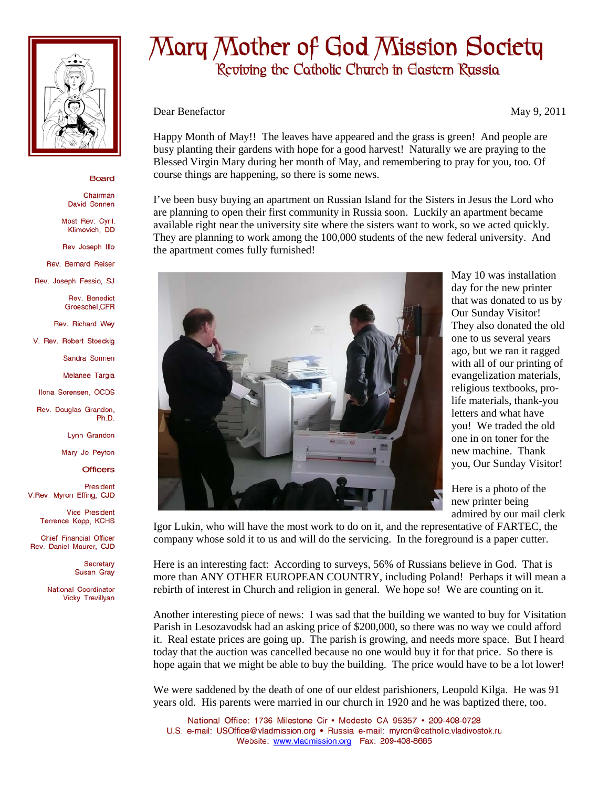

## **Board**

Chairman David Sonnen

Most Rev. Cyril. Klimovich DD

Rev Joseph Illo

Rev. Bernard Reiser

Rev. Joseph Fessio, SJ

Rev. Benedict Groeschel.CFR

Rev. Richard Wey

V. Rev. Robert Stoeckig

Sandra Sonnen

Melanee Targia

Ilona Sorensen, OCDS

Rev. Douglas Grandon, Ph.D

Lynn Grandon

Mary Jo Peyton

**Officers** 

President V.Rev. Myron Effing, CJD

> **Vice President** Terrence Kopp, KCHS

Chief Financial Officer Rev. Daniel Maurer, CJD

> Secretary Susan Gray

National Coordinator Vicky Trevillyan

## Mary Mother of God Mission Society

Reviving the Catholic Church in Eastern Russia

Dear Benefactor May 9, 2011

Happy Month of May!! The leaves have appeared and the grass is green! And people are busy planting their gardens with hope for a good harvest! Naturally we are praying to the Blessed Virgin Mary during her month of May, and remembering to pray for you, too. Of course things are happening, so there is some news.

I've been busy buying an apartment on Russian Island for the Sisters in Jesus the Lord who are planning to open their first community in Russia soon. Luckily an apartment became available right near the university site where the sisters want to work, so we acted quickly. They are planning to work among the 100,000 students of the new federal university. And the apartment comes fully furnished!



May 10 was installation day for the new printer that was donated to us by Our Sunday Visitor! They also donated the old one to us several years ago, but we ran it ragged with all of our printing of evangelization materials, religious textbooks, prolife materials, thank-you letters and what have you! We traded the old one in on toner for the new machine. Thank you, Our Sunday Visitor!

Here is a photo of the new printer being admired by our mail clerk

Igor Lukin, who will have the most work to do on it, and the representative of FARTEC, the company whose sold it to us and will do the servicing. In the foreground is a paper cutter.

Here is an interesting fact: According to surveys, 56% of Russians believe in God. That is more than ANY OTHER EUROPEAN COUNTRY, including Poland! Perhaps it will mean a rebirth of interest in Church and religion in general. We hope so! We are counting on it.

Another interesting piece of news: I was sad that the building we wanted to buy for Visitation Parish in Lesozavodsk had an asking price of \$200,000, so there was no way we could afford it. Real estate prices are going up. The parish is growing, and needs more space. But I heard today that the auction was cancelled because no one would buy it for that price. So there is hope again that we might be able to buy the building. The price would have to be a lot lower!

We were saddened by the death of one of our eldest parishioners, Leopold Kilga. He was 91 years old. His parents were married in our church in 1920 and he was baptized there, too.

National Office: 1736 Milestone Cir . Modesto CA 95357 . 209-408-0728 U.S. e-mail: USOffice@vladmission.org · Russia e-mail: myron@catholic.vladivostok.ru Website: www.vladmission.org Fax: 209-408-8665